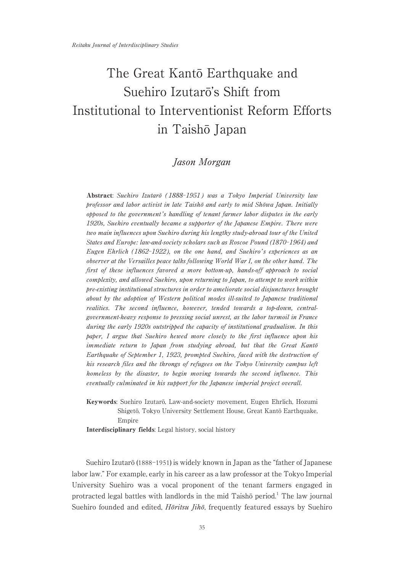# The Great Kantō Earthquake and Suehiro Izutarō's Shift from Institutional to Interventionist Reform Efforts in Taishō Japan

# Jason Morgan

Abstract: Suehiro Izutarō (1888-1951) was a Tokyo Imperial University law professor and labor activist in late Taishō and early to mid Shōwa Japan. Initially opposed to the government's handling of tenant farmer labor disputes in the early 1920s, Suehiro eventually became a supporter of the Japanese Empire. There were two main influences upon Suehiro during his lengthy study-abroad tour of the United States and Europe: law-and-society scholars such as Roscoe Pound (1870-1964) and Eugen Ehrlich (1862-1922), on the one hand, and Suehiro's experiences as an observer at the Versailles peace talks following World War I, on the other hand. The first of these influences favored a more bottom-up, hands-off approach to social complexity, and allowed Suehiro, upon returning to Japan, to attempt to work within pre-existing institutional structures in order to ameliorate social disjunctures brought about by the adoption of Western political modes ill-suited to Japanese traditional realities. The second influence, however, tended towards a top-down, centralgovernment-heavy response to pressing social unrest, as the labor turmoil in France during the early 1920s outstripped the capacity of institutional gradualism. In this paper, I argue that Suehiro hewed more closely to the first influence upon his immediate return to Japan from studying abroad, but that the Great Kantō Earthquake of September 1, 1923, prompted Suehiro, faced with the destruction of his research files and the throngs of refugees on the Tokyo University campus left homeless by the disaster, to begin moving towards the second influence. This eventually culminated in his support for the Japanese imperial project overall.

Keywords: Suehiro Izutarō, Law-and-society movement, Eugen Ehrlich, Hozumi Shigetō, Tokyo University Settlement House, Great Kantō Earthquake, Empire

Interdisciplinary fields: Legal history, social history

Suehiro Izutarō (1888-1951) is widely known in Japan as the "father of Japanese labor law." For example, early in his career as a law professor at the Tokyo Imperial University Suehiro was a vocal proponent of the tenant farmers engaged in protracted legal battles with landlords in the mid Taishō period.<sup>1</sup> The law journal Suehiro founded and edited,  $H\overline{\omega}$ ritsu *Jih* $\overline{\omega}$ , frequently featured essays by Suehiro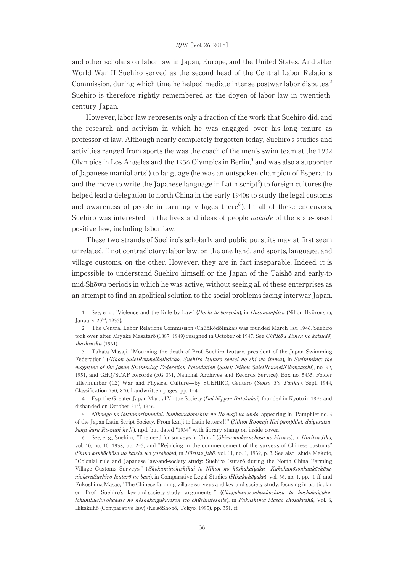and other scholars on labor law in Japan,Europe,and the United States. And after World War II Suehiro served as the second head of the Central Labor Relations Commission, during which time he helped mediate intense postwar labor disputes.<sup>2</sup> Suehiro is therefore rightly remembered as the doyen of labor law in twentiethcentury Japan.

However, labor law represents only a fraction of the work that Suehiro did, and the research and activism in which he was engaged, over his long tenure as professor of law. Although nearly completely forgotten today,Suehiro's studies and activities ranged from sports (he was the coach of the men's swim team at the 1932 Olympics in Los Angeles and the 1936 Olympics in Berlin,<sup>3</sup> and was also a supporter of Japanese martial arts<sup>4</sup>) to language (he was an outspoken champion of Esperanto and the move to write the Japanese language in Latin script<sup>5</sup>) to foreign cultures (he helped lead a delegation to north China in the early 1940s to study the legal customs and awareness of people in farming villages there $6$ ). In all of these endeavors, Suehiro was interested in the lives and ideas of people outside of the state-based positive law, including labor law.

These two strands of Suehiro's scholarly and public pursuits may at first seem unrelated, if not contradictory: labor law, on the one hand, and sports, language, and village customs, on the other. However, they are in fact inseparable. Indeed, it is impossible to understand Suehiro himself,or the Japan of the Taishō and early-to mid-Shōwa periods in which he was active, without seeing all of these enterprises as an attempt to find an apolitical solution to the social problems facing interwar Japan.

See, e. g., "Violence and the Rule by Law" (*Hōchi to bōryoku*), in *Hōsōmanpitsu* (Nihon Hyōronsha, January 20<sup>th</sup>, 1933).

<sup>2</sup> The Central Labor Relations Commission (ChūōRōdōIinkai) was founded March 1st, 1946. Suehiro took over after Miyake Masatarō (1887-1949) resigned in October of 1947. See ChūRō I 15nen no katsudō, shashinshū (1961).

<sup>3</sup> Tabata Masaji, "Mourning the death of Prof. Suehiro Izutarō, president of the Japan Swimming Federation" (Nihon SuieiRenmeikaikaichō, Suehiro Izutarō sensei no shi wo itamu), in Swimming: the magazine of the Japan Swimming Federation Foundation (Suiei: Nihon SuieiRenmeiKikanzasshi), no. 92, 1951, and GHQ/SCAP Records (RG 331, National Archives and Records Service), Box no. 5435, Folder title/number (12) War and Physical Culture-by SUEHIRO, Gentaro (Senso To Taiiku), Sept. 1944, Classification 750, 870, handwritten pages, pp.  $1-4$ .

<sup>4</sup> Esp. the Greater Japan Martial Virtue Society (Dai Nippon Butokukai), founded in Kyoto in 1895 and disbanded on October 31<sup>st</sup>, 1946.

<sup>5</sup> Nihongo no ikizumarimondai: bunkaundōtoshite no Ro-maji no undō, appearing in "Pamphlet no. 5 of the Japan Latin Script Society,From kanji to Latin letters‼" (Nihon Ro-maji Kai pamphlet, daigosatsu, kanji kara Ro-maji he !!), npd, but dated "1934" with library stamp on inside cover.

<sup>6</sup> See, e. g., Suehiro, "The need for surveys in China" (Shina niokeruchōsa no hitsuyō), in Hōritsu Jihō, vol. 10, no. 10, 1938, pp. 2-3, and "Rejoicing in the commencement of the surveys of Chinese customs" (Shina kankōchōsa no kaishi wo yorokobu), in Hōritsu Jihō, vol. 11, no. 1, 1939, p. 3. See also Ishida Makoto, "Colonial rule and Japanese law-and-society study: Suehiro Izutarō during the North China Farming Village Customs Surveys" (Shokuminchishihai to Nihon no hōshakaigaku—KahokunōsonkankōchōsaniokeruSuehiro Izutarō no baai), in Comparative Legal Studies (Hikakuhōgaku), vol. 36, no. 1, pp. 1 ff, and Fukushima Masao,"The Chinese farming village surveys and law-and-society study: focusing in particular on Prof. Suehiro's law-and-society-study arguments " (Chūgokunōsonkankōchōsa to hōshakaigaku: tokuniSuehirohakase no hōshakaigakuriron wo chūshintoshite), in Fukushima Masao chosakushū, Vol. 6, Hikakuhō (Comparative law) (KeisōShobō, Tokyo, 1995), pp. 351, ff.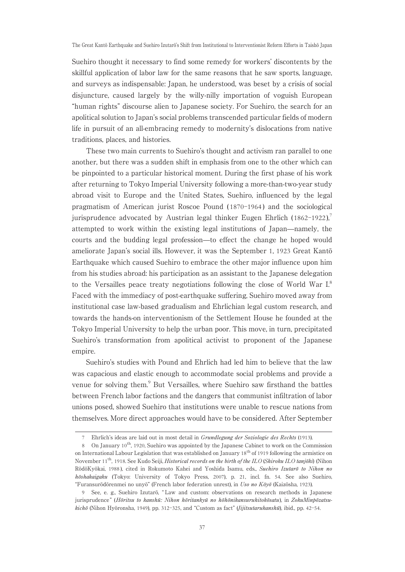Suehiro thought it necessary to find some remedy for workers' discontents by the skillful application of labor law for the same reasons that he saw sports, language, and surveys as indispensable: Japan, he understood, was beset by a crisis of social disjuncture, caused largely by the willy-nilly importation of voguish European "human rights" discourse alien to Japanese society. For Suehiro, the search for an apolitical solution to Japan's social problems transcended particular fields of modern life in pursuit of an all-embracing remedy to modernity's dislocations from native traditions, places, and histories.

These two main currents to Suehiro's thought and activism ran parallel to one another, but there was a sudden shift in emphasis from one to the other which can be pinpointed to a particular historical moment. During the first phase of his work after returning to Tokyo Imperial University following a more-than-two-year study abroad visit to Europe and the United States, Suehiro, influenced by the legal pragmatism of American jurist Roscoe Pound (1870-1964) and the sociological jurisprudence advocated by Austrian legal thinker Eugen Ehrlich (1862-1922), attempted to work within the existing legal institutions of Japan—namely, the courts and the budding legal profession̶to effect the change he hoped would ameliorate Japan's social ills. However, it was the September 1, 1923 Great Kantō Earthquake which caused Suehiro to embrace the other major influence upon him from his studies abroad: his participation as an assistant to the Japanese delegation to the Versailles peace treaty negotiations following the close of World War I.<sup>8</sup> Faced with the immediacy of post-earthquake suffering, Suehiro moved away from institutional case law-based gradualism and Ehrlichian legal custom research, and towards the hands-on interventionism of the Settlement House he founded at the Tokyo Imperial University to help the urban poor. This move, in turn, precipitated Suehiro's transformation from apolitical activist to proponent of the Japanese empire.

Suehiro's studies with Pound and Ehrlich had led him to believe that the law was capacious and elastic enough to accommodate social problems and provide a venue for solving them.<sup>9</sup> But Versailles, where Suehiro saw firsthand the battles between French labor factions and the dangers that communist infiltration of labor unions posed, showed Suehiro that institutions were unable to rescue nations from themselves. More direct approaches would have to be considered. After September

<sup>7</sup> Ehrlich's ideas are laid out in most detail in Grundlegung der Soziologie des Rechts (1913).

<sup>8</sup> On January 10<sup>th</sup>, 1920, Suehiro was appointed by the Japanese Cabinet to work on the Commission on International Labour Legislation that was established on January  $18^{th}$  of 1919 following the armistice on November 11<sup>th</sup>, 1918. See Kudo Seiji, *Historical records on the birth of the ILO (Shiroku ILO tanjōki*) (Nihon RōdōKyōkai, 1988), cited in Rokumoto Kahei and Yoshida Isamu, eds., Suehiro Izutarō to Nihon no  $h\bar{\sigma}shakaigaku$  (Tokyo: University of Tokyo Press, 2007), p. 21, incl. fn. 54. See also Suehiro, "Furansurōdōrenmei no unyō" (French labor federation unrest),in Uso no Kōyō (Kaizōsha, 1923).

<sup>9</sup> See,e. g.,Suehiro Izutarō," Law and custom: observations on research methods in Japanese jurisprudence" (Hōritsu to kanshū: Nihon hōritankyū no hōhōnikansuruhitokōsatu), in ZokuMinpōzatsukichō (Nihon Hyōronsha, 1949), pp. 312-325, and "Custom as fact" (*Jijitsutarukanshū*), ibid., pp. 42-54.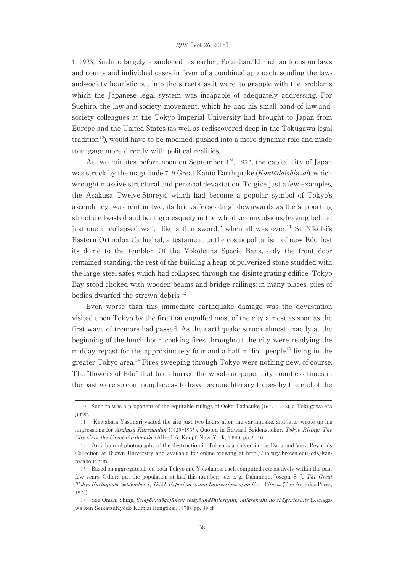1, 1923, Suehiro largely abandoned his earlier, Poundian/Ehrlichian focus on laws and courts and individual cases in favor of a combined approach, sending the lawand-society heuristic out into the streets, as it were, to grapple with the problems which the Japanese legal system was incapable of adequately addressing. For Suehiro, the law-and-society movement, which he and his small band of law-andsociety colleagues at the Tokyo Imperial University had brought to Japan from Europe and the United States (as well as rediscovered deep in the Tokugawa legal tradition<sup>10</sup>), would have to be modified, pushed into a more dynamic role and made to engage more directly with political realities.

At two minutes before noon on September  $1<sup>st</sup>$ , 1923, the capital city of Japan was struck by the magnitude 7.9 Great Kantō Earthquake (*Kantōdaishinsai*), which wrought massive structural and personal devastation. To give just a few examples, the Asakusa Twelve-Storeys,which had become a popular symbol of Tokyo's ascendancy, was rent in two, its bricks "cascading" downwards as the supporting structure twisted and bent grotesquely in the whiplike convulsions, leaving behind just one uncollapsed wall, "like a thin sword," when all was over.<sup>11</sup> St. Nikolai's Eastern Orthodox Cathedral, a testament to the cosmopolitanism of new Edo, lost its dome to the temblor. Of the Yokohama Specie Bank, only the front door remained standing, the rest of the building a heap of pulverized stone studded with the large steel safes which had collapsed through the disintegrating edifice. Tokyo Bay stood choked with wooden beams and bridge railings; in many places, piles of bodies dwarfed the strewn debris.<sup>12</sup>

Even worse than this immediate earthquake damage was the devastation visited upon Tokyo by the fire that engulfed most of the city almost as soon as the first wave of tremors had passed. As the earthquake struck almost exactly at the beginning of the lunch hour, cooking fires throughout the city were readying the midday repast for the approximately four and a half million people<sup>13</sup> living in the greater Tokyo area.<sup>14</sup> Fires sweeping through Tokyo were nothing new, of course. The "flowers of Edo" that had charred the wood-and-paper city countless times in the past were so commonplace as to have become literary tropes by the end of the

<sup>10</sup> Suehiro was a proponent of the equitable rulings of  $\overline{O}$ oka Tadasuke (1677-1752), a Tokugawa-era jurist.

<sup>11</sup> Kawabata Yasunari visited the site just two hours after the earthquake,and later wrote up his impressions for Asakusa Kurenaidan (1929-1935). Quoted in Edward Seidensticker, Tokyo Rising: The City since the Great Earthquake (Alfred A. Knopf: New York, 1990), pp. 9-10.

<sup>12</sup> An album of photographs of the destruction in Tokyo is archived in the Dana and Vera Reynolds Collection at Brown University and available for online viewing at http://library.brown.edu/cds/kanto/about.html

<sup>13</sup> Based on aggregates from both Tokyo and Yokohama,each computed retroactively within the past few years. Others put the population at half this number: see, e. g., Dahlmann, Joseph, S. J., The Great Tokyo Earthquake September 1, 1923. Experiences and Impressions of an Eye-Witness (The America Press, 1924).

<sup>14</sup> See Ōnishi Shinji, Seikyōundōgojūnen: seikyōundōhitosujini, ikitarekishi no shōgentoshite (Kanagawa ken SeikatsuKyōdō Kumiai Rengōkai, 1978), pp. 49 ff.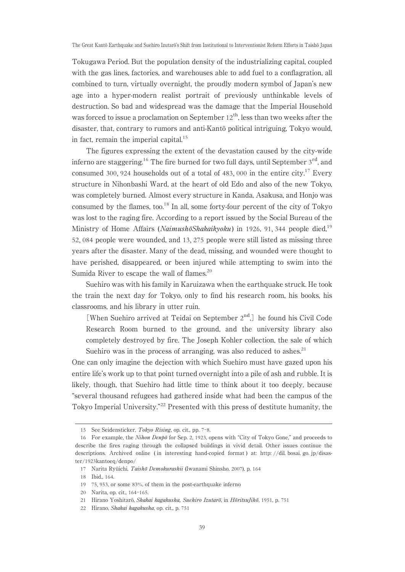Tokugawa Period. But the population density of the industrializing capital,coupled with the gas lines, factories, and warehouses able to add fuel to a conflagration, all combined to turn, virtually overnight, the proudly modern symbol of Japan's new age into a hyper-modern realist portrait of previously unthinkable levels of destruction. So bad and widespread was the damage that the Imperial Household was forced to issue a proclamation on September  $12<sup>th</sup>$ , less than two weeks after the disaster, that, contrary to rumors and anti-Kantō political intriguing, Tokyo would, in fact, remain the imperial capital.<sup>15</sup>

The figures expressing the extent of the devastation caused by the city-wide inferno are staggering.<sup>16</sup> The fire burned for two full days, until September  $3<sup>rd</sup>$ , and consumed 300, 924 households out of a total of 483, 000 in the entire city.<sup>17</sup> Every structure in Nihonbashi Ward, at the heart of old Edo and also of the new Tokyo, was completely burned. Almost every structure in Kanda, Asakusa, and Honjo was consumed by the flames, too.<sup>18</sup> In all, some forty-four percent of the city of Tokyo was lost to the raging fire. According to a report issued by the Social Bureau of the Ministry of Home Affairs (NaimushōShakaikyoku) in 1926, 91, 344 people died,<sup>19</sup> 52, 084 people were wounded,and 13, 275 people were still listed as missing three years after the disaster. Many of the dead,missing,and wounded were thought to have perished, disappeared, or been injured while attempting to swim into the Sumida River to escape the wall of flames.<sup>20</sup>

Suehiro was with his family in Karuizawa when the earthquake struck. He took the train the next day for Tokyo, only to find his research room, his books, his classrooms, and his library in utter ruin.

[When Suehiro arrived at Teidai on September  $2<sup>nd</sup>$ .] he found his Civil Code Research Room burned to the ground, and the university library also completely destroyed by fire. The Joseph Kohler collection, the sale of which Suehiro was in the process of arranging, was also reduced to ashes. $21$ 

One can only imagine the dejection with which Suehiro must have gazed upon his entire life's work up to that point turned overnight into a pile of ash and rubble. It is likely, though, that Suehiro had little time to think about it too deeply, because "several thousand refugees had gathered inside what had been the campus of the Tokyo Imperial University."<sup>22</sup> Presented with this press of destitute humanity, the

<sup>15</sup> See Seidensticker, Tokyo Rising, op. cit., pp. 7-8.

<sup>16</sup> For example, the Nihon Denpō for Sep. 2, 1923, opens with "City of Tokyo Gone," and proceeds to describe the fires raging through the collapsed buildings in vivid detail. Other issues continue the descriptions. Archived online (in interesting hand-copied format) at: http://dil. bosai. go. jp/disaster/1923kantoeq/denpo/

<sup>17</sup> Narita Ryūichi, Taishō Demokurashii (Iwanami Shinsho, 2007), p. 164

<sup>18</sup> Ibid., 164.

<sup>19 75, 953,</sup> or some 83%, of them in the post-earthquake inferno

<sup>20</sup> Narita op. cit., 164-165.

<sup>21</sup> Hirano Yoshitarō, Shakai kagakusha, Suehiro Izutarō, in HōritsuJihō, 1951, p. 751

<sup>22</sup> Hirano, Shakai kagakusha, op. cit., p. 751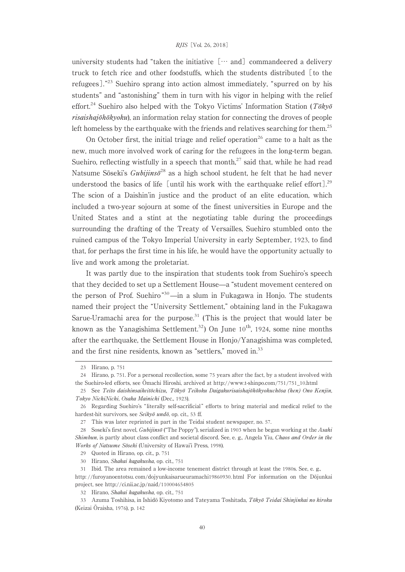university students had "taken the initiative  $[\cdots$  and] commandeered a delivery truck to fetch rice and other foodstuffs, which the students distributed  $[$  to the refugees]."<sup>23</sup> Suehiro sprang into action almost immediately,"spurred on by his students" and "astonishing" them in turn with his vigor in helping with the relief effort.<sup>24</sup> Suehiro also helped with the Tokyo Victims' Information Station ( $T\bar{o}ky\bar{o}$  $risaishajōhōkyoku$ , an information relay station for connecting the droves of people left homeless by the earthquake with the friends and relatives searching for them.<sup>25</sup>

On October first, the initial triage and relief operation<sup>26</sup> came to a halt as the new,much more involved work of caring for the refugees in the long-term began. Suehiro, reflecting wistfully in a speech that month, $27$  said that, while he had read Natsume Sōseki's  $Gubijins\bar{\sigma}^{28}$  as a high school student, he felt that he had never understood the basics of life [until his work with the earthquake relief effort].<sup>29</sup> The scion of a Daishin'in justice and the product of an elite education, which included a two-year sojourn at some of the finest universities in Europe and the United States and a stint at the negotiating table during the proceedings surrounding the drafting of the Treaty of Versailles, Suehiro stumbled onto the ruined campus of the Tokyo Imperial University in early September, 1923, to find that, for perhaps the first time in his life, he would have the opportunity actually to live and work among the proletariat.

It was partly due to the inspiration that students took from Suehiro's speech that they decided to set up a Settlement House̶a "student movement centered on the person of Prof. Suehiro"<sup>30</sup>—in a slum in Fukagawa in Honjo. The students named their project the "University Settlement," obtaining land in the Fukagawa Sarue-Uramachi area for the purpose.<sup>31</sup> (This is the project that would later be known as the Yanagishima Settlement.<sup>32</sup>) On June  $10^{th}$ , 1924, some nine months after the earthquake, the Settlement House in Honjo/Yanagishima was completed, and the first nine residents, known as "settlers," moved in. $33$ 

<sup>23</sup> Hirano, p. 751

<sup>24</sup> Hirano, p. 751. For a personal recollection, some 75 years after the fact, by a student involved with the Suehiro-led efforts, see Ōmachi Hiroshi, archived at http://www.t-shinpo.com/751/751\_10.html

<sup>25</sup> See Teito daishinsaikeitōchizu, Tōkyō Teikoku Daigakurisaishajōhōkyokuchōsa (hen) Ono Kenjin, Tokyo NichiNichi, Osaka Mainichi (Dec., 1923).

<sup>26</sup> Regarding Suehiro's "literally self-sacrificial" efforts to bring material and medical relief to the hardest-hit survivors, see Seikyō undō, op. cit., 53 ff.

<sup>27</sup> This was later reprinted in part in the Teidai student newspaper,no. 57.

<sup>28</sup> Soseki's first novel,  $Gubijins\bar{o}$  ("The Poppy"), serialized in 1903 when he began working at the Asahi Shimbun, is partly about class conflict and societal discord. See, e. g., Angela Yiu, Chaos and Order in the Works of Natsume Sōseki (University of Hawai'i Press, 1998).

<sup>29</sup> Quoted in Hirano,op. cit.,p. 751

<sup>30</sup> Hirano, Shakai kagakusha, op. cit., 751

<sup>31</sup> Ibid. The area remained a low-income tenement district through at least the 1980s. See, e. g., http: //furoyanoentotsu. com/dojyunkaisarueuramachi19860930. html For information on the Dōjunkai project, see http://ci.nii.ac.jp/naid/110004654805

<sup>32</sup> Hirano, Shakai kagakusha, op. cit., 751

<sup>33</sup> Azuma Toshihisa, in Ishidō Kiyotomo and Tateyama Toshitada, Tōkyō Teidai Shinjinkai no kiroku (Keizai Ōraisha, 1976), p. 142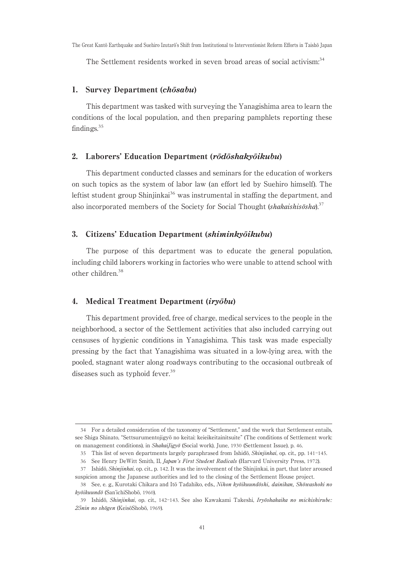The Settlement residents worked in seven broad areas of social activism.<sup>34</sup>

#### 1. Survey Department (chōsabu)

This department was tasked with surveying the Yanagishima area to learn the conditions of the local population, and then preparing pamphlets reporting these findings.<sup>35</sup>

#### 2. Laborers'Education Department (rōdōshakyōikubu)

This department conducted classes and seminars for the education of workers on such topics as the system of labor law (an effort led by Suehiro himself). The leftist student group Shinjinkai $36$  was instrumental in staffing the department, and also incorporated members of the Society for Social Thought (shakaishisōsha).<sup>37</sup>

### 3. Citizens'Education Department (shiminkyōikubu)

The purpose of this department was to educate the general population, including child laborers working in factories who were unable to attend school with other children.<sup>38</sup>

# 4. Medical Treatment Department (iryōbu)

This department provided, free of charge, medical services to the people in the neighborhood,a sector of the Settlement activities that also included carrying out censuses of hygienic conditions in Yanagishima. This task was made especially pressing by the fact that Yanagishima was situated in a low-lying area,with the pooled, stagnant water along roadways contributing to the occasional outbreak of diseases such as typhoid fever.<sup>39</sup>

<sup>34</sup> For a detailed consideration of the taxonomy of "Settlement," and the work that Settlement entails, see Shiga Shinato,"Settsurumentojigyō no keitai: keieikeitainitsuite" (The conditions of Settlement work: on management conditions), in ShakaiJigyō (Social work), June, 1930 (Settlement Issue), p. 46.

<sup>35</sup> This list of seven departments largely paraphrased from Ishidō, Shinjinkai, op. cit., pp. 141-145.

<sup>36</sup> See Henry DeWitt Smith, II, Japan's First Student Radicals (Harvard University Press, 1972).

<sup>37</sup> Ishidō, Shinjinkai, op. cit., p. 142. It was the involvement of the Shinjinkai, in part, that later aroused suspicion among the Japanese authorities and led to the closing of the Settlement House project.

<sup>38</sup> See, e. g., Kurotaki Chikara and Itō Tadahiko, eds., Nihon kyōikuundōshi, dainikan, Shōwashoki no kyōikuundō (San'ichiShobō, 1960).

<sup>39</sup> Ishidō, Shinjinkai,op. cit., 142-143. See also Kawakami Takeshi, Iryōshakaika no michishirube: 25nin no shōgen (KeisōShobō, 1969).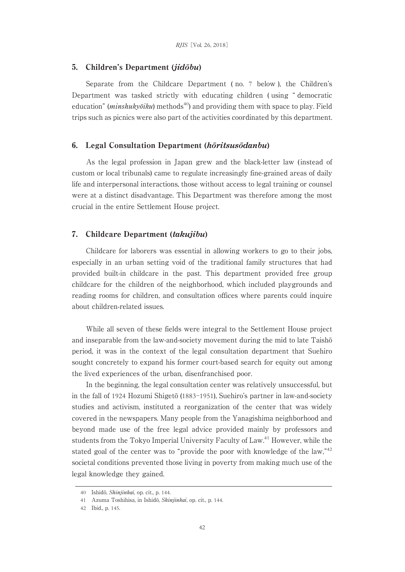#### 5. Children's Department (jidōbu)

Separate from the Childcare Department (no. 7 below), the Children's Department was tasked strictly with educating children ( using " democratic education" (*minshukyōiku*) methods<sup>40</sup>) and providing them with space to play. Field trips such as picnics were also part of the activities coordinated by this department.

#### 6. Legal Consultation Department (hōritsusōdanbu)

As the legal profession in Japan grew and the black-letter law ( instead of custom or local tribunals) came to regulate increasingly fine-grained areas of daily life and interpersonal interactions, those without access to legal training or counsel were at a distinct disadvantage. This Department was therefore among the most crucial in the entire Settlement House project.

## 7. Childcare Department (takujibu)

Childcare for laborers was essential in allowing workers to go to their jobs, especially in an urban setting void of the traditional family structures that had provided built-in childcare in the past. This department provided free group childcare for the children of the neighborhood, which included playgrounds and reading rooms for children, and consultation offices where parents could inquire about children-related issues.

While all seven of these fields were integral to the Settlement House project and inseparable from the law-and-society movement during the mid to late Taishō period,it was in the context of the legal consultation department that Suehiro sought concretely to expand his former court-based search for equity out among the lived experiences of the urban, disenfranchised poor.

In the beginning, the legal consultation center was relatively unsuccessful, but in the fall of 1924 Hozumi Shigetō (1883–1951), Suehiro's partner in law-and-society studies and activism, instituted a reorganization of the center that was widely covered in the newspapers. Many people from the Yanagishima neighborhood and beyond made use of the free legal advice provided mainly by professors and students from the Tokyo Imperial University Faculty of Law.<sup>41</sup> However, while the stated goal of the center was to "provide the poor with knowledge of the law,"<sup>42</sup> societal conditions prevented those living in poverty from making much use of the legal knowledge they gained.

<sup>40</sup> Ishidō, Shinjinkai,op. cit.,p. 144.

<sup>41</sup> Azuma Toshihisa, in Ishidō, Shinjinkai, op. cit., p. 144.

<sup>42</sup> Ibid.,p. 145.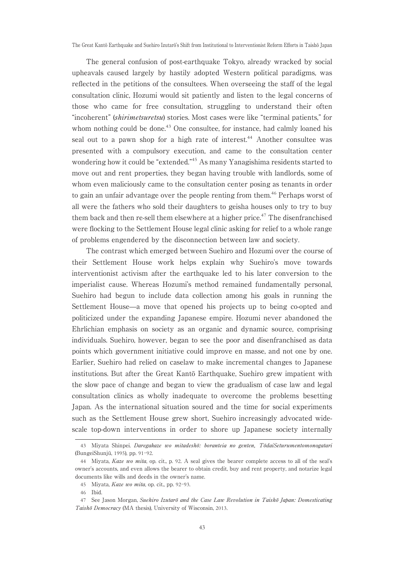The general confusion of post-earthquake Tokyo, already wracked by social upheavals caused largely by hastily adopted Western political paradigms, was reflected in the petitions of the consultees. When overseeing the staff of the legal consultation clinic,Hozumi would sit patiently and listen to the legal concerns of those who came for free consultation, struggling to understand their often "incoherent" *(shirimetsuretsu)* stories. Most cases were like "terminal patients," for whom nothing could be done.<sup>43</sup> One consultee, for instance, had calmly loaned his seal out to a pawn shop for a high rate of interest.<sup>44</sup> Another consultee was presented with a compulsory execution,and came to the consultation center wondering how it could be "extended."<sup>45</sup> As many Yanagishima residents started to move out and rent properties, they began having trouble with landlords, some of whom even maliciously came to the consultation center posing as tenants in order to gain an unfair advantage over the people renting from them.<sup>46</sup> Perhaps worst of all were the fathers who sold their daughters to geisha houses only to try to buy them back and then re-sell them elsewhere at a higher price.<sup>47</sup> The disenfranchised were flocking to the Settlement House legal clinic asking for relief to a whole range of problems engendered by the disconnection between law and society.

The contrast which emerged between Suehiro and Hozumi over the course of their Settlement House work helps explain why Suehiro's move towards interventionist activism after the earthquake led to his later conversion to the imperialist cause. Whereas Hozumi's method remained fundamentally personal, Suehiro had begun to include data collection among his goals in running the Settlement House̶a move that opened his projects up to being co-opted and politicized under the expanding Japanese empire. Hozumi never abandoned the Ehrlichian emphasis on society as an organic and dynamic source, comprising individuals. Suehiro, however, began to see the poor and disenfranchised as data points which government initiative could improve en masse,and not one by one. Earlier, Suehiro had relied on caselaw to make incremental changes to Japanese institutions. But after the Great Kantō Earthquake, Suehiro grew impatient with the slow pace of change and began to view the gradualism of case law and legal consultation clinics as wholly inadequate to overcome the problems besetting Japan. As the international situation soured and the time for social experiments such as the Settlement House grew short, Suehiro increasingly advocated widescale top-down interventions in order to shore up Japanese society internally

<sup>43</sup> Miyata Shinpei. Daregakaze wo mitadeshō: boranteia no genten, TōdaiSeturumentomonogatari (BungeiShunjū, 1995), pp. 91-92.

<sup>44</sup> Miyata, Kaze wo mita, op. cit., p. 92. A seal gives the bearer complete access to all of the seal's owner's accounts, and even allows the bearer to obtain credit, buy and rent property, and notarize legal documents like wills and deeds in the owner's name.

<sup>45</sup> Miyata, Kaze wo mita, op. cit., pp. 92-93.

<sup>46</sup> Ibid.

<sup>47</sup> See Jason Morgan, Suehiro Izutarō and the Case Law Revolution in Taishō Japan: Domesticating Taishō Democracy (MA thesis), University of Wisconsin, 2013.